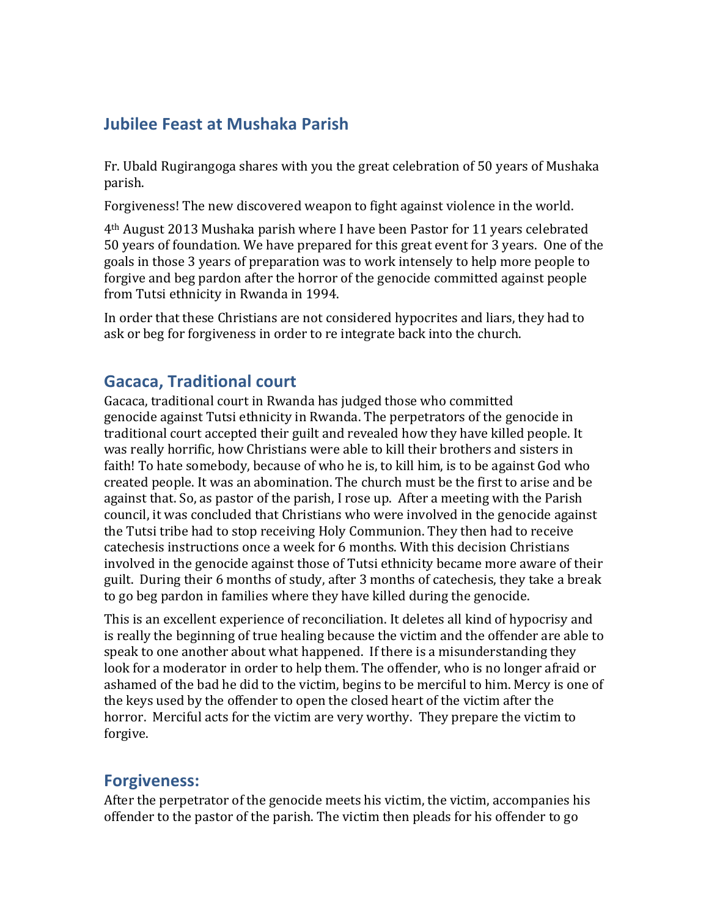# **Jubilee Feast at Mushaka Parish**

Fr. Ubald Rugirangoga shares with you the great celebration of 50 years of Mushaka parish.

Forgiveness! The new discovered weapon to fight against violence in the world.

4<sup>th</sup> August 2013 Mushaka parish where I have been Pastor for 11 years celebrated 50 years of foundation. We have prepared for this great event for 3 years. One of the goals in those 3 years of preparation was to work intensely to help more people to forgive and beg pardon after the horror of the genocide committed against people from Tutsi ethnicity in Rwanda in 1994.

In order that these Christians are not considered hypocrites and liars, they had to ask or beg for forgiveness in order to re integrate back into the church.

## **Gacaca, Traditional court**

Gacaca, traditional court in Rwanda has judged those who committed genocide against Tutsi ethnicity in Rwanda. The perpetrators of the genocide in traditional court accepted their guilt and revealed how they have killed people. It was really horrific, how Christians were able to kill their brothers and sisters in faith! To hate somebody, because of who he is, to kill him, is to be against God who created people. It was an abomination. The church must be the first to arise and be against that. So, as pastor of the parish, I rose up. After a meeting with the Parish council, it was concluded that Christians who were involved in the genocide against the Tutsi tribe had to stop receiving Holy Communion. They then had to receive catechesis instructions once a week for 6 months. With this decision Christians involved in the genocide against those of Tutsi ethnicity became more aware of their guilt. During their 6 months of study, after 3 months of catechesis, they take a break to go beg pardon in families where they have killed during the genocide.

This is an excellent experience of reconciliation. It deletes all kind of hypocrisy and is really the beginning of true healing because the victim and the offender are able to speak to one another about what happened. If there is a misunderstanding they look for a moderator in order to help them. The offender, who is no longer afraid or ashamed of the bad he did to the victim, begins to be merciful to him. Mercy is one of the keys used by the offender to open the closed heart of the victim after the horror. Merciful acts for the victim are very worthy. They prepare the victim to forgive.

#### **Forgiveness:**

After the perpetrator of the genocide meets his victim, the victim, accompanies his offender to the pastor of the parish. The victim then pleads for his offender to go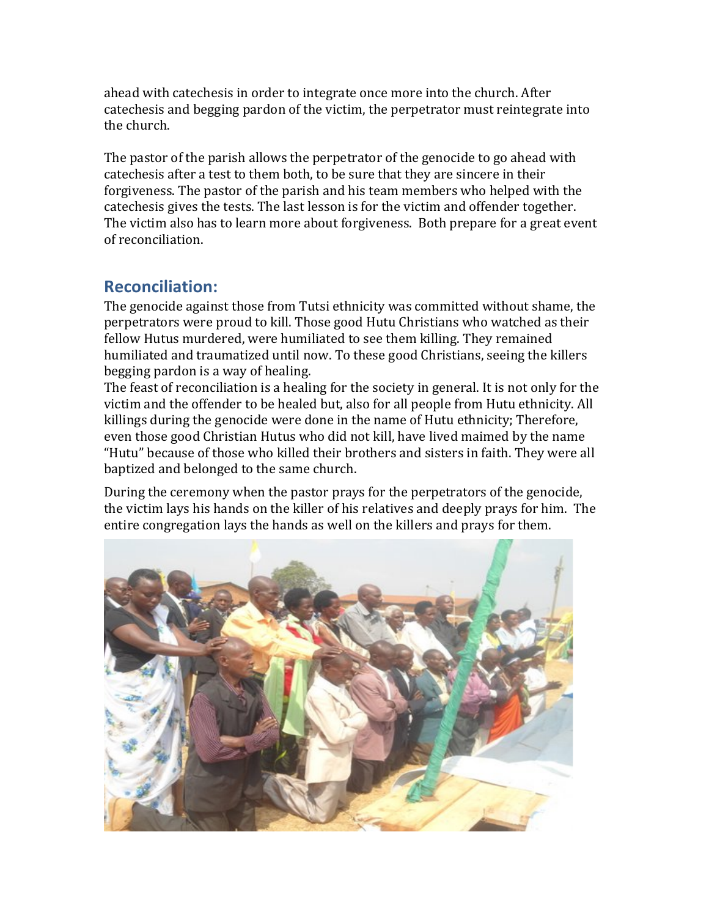ahead with catechesis in order to integrate once more into the church. After catechesis and begging pardon of the victim, the perpetrator must reintegrate into the church.

The pastor of the parish allows the perpetrator of the genocide to go ahead with catechesis after a test to them both, to be sure that they are sincere in their forgiveness. The pastor of the parish and his team members who helped with the catechesis gives the tests. The last lesson is for the victim and offender together. The victim also has to learn more about forgiveness. Both prepare for a great event of reconciliation.

## **Reconciliation:**

The genocide against those from Tutsi ethnicity was committed without shame, the perpetrators were proud to kill. Those good Hutu Christians who watched as their fellow Hutus murdered, were humiliated to see them killing. They remained humiliated and traumatized until now. To these good Christians, seeing the killers begging pardon is a way of healing.

The feast of reconciliation is a healing for the society in general. It is not only for the victim and the offender to be healed but, also for all people from Hutu ethnicity. All killings during the genocide were done in the name of Hutu ethnicity; Therefore, even those good Christian Hutus who did not kill, have lived maimed by the name "Hutu" because of those who killed their brothers and sisters in faith. They were all baptized and belonged to the same church.

During the ceremony when the pastor prays for the perpetrators of the genocide, the victim lays his hands on the killer of his relatives and deeply prays for him. The entire congregation lays the hands as well on the killers and prays for them.